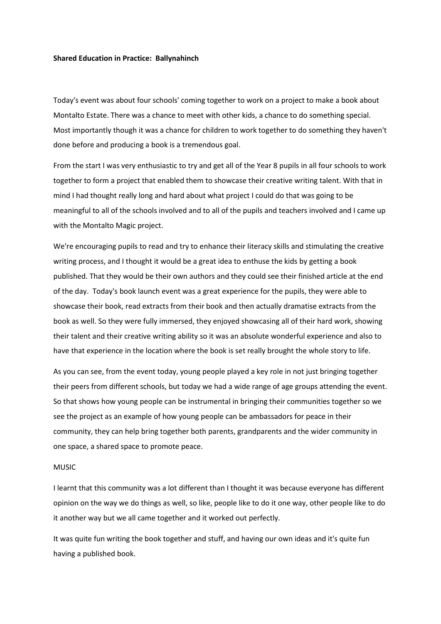## **Shared Education in Practice: Ballynahinch**

Today's event was about four schools' coming together to work on a project to make a book about Montalto Estate. There was a chance to meet with other kids, a chance to do something special. Most importantly though it was a chance for children to work together to do something they haven't done before and producing a book is a tremendous goal.

From the start I was very enthusiastic to try and get all of the Year 8 pupils in all four schools to work together to form a project that enabled them to showcase their creative writing talent. With that in mind I had thought really long and hard about what project I could do that was going to be meaningful to all of the schools involved and to all of the pupils and teachers involved and I came up with the Montalto Magic project.

We're encouraging pupils to read and try to enhance their literacy skills and stimulating the creative writing process, and I thought it would be a great idea to enthuse the kids by getting a book published. That they would be their own authors and they could see their finished article at the end of the day. Today's book launch event was a great experience for the pupils, they were able to showcase their book, read extracts from their book and then actually dramatise extracts from the book as well. So they were fully immersed, they enjoyed showcasing all of their hard work, showing their talent and their creative writing ability so it was an absolute wonderful experience and also to have that experience in the location where the book is set really brought the whole story to life.

As you can see, from the event today, young people played a key role in not just bringing together their peers from different schools, but today we had a wide range of age groups attending the event. So that shows how young people can be instrumental in bringing their communities together so we see the project as an example of how young people can be ambassadors for peace in their community, they can help bring together both parents, grandparents and the wider community in one space, a shared space to promote peace.

## MUSIC

I learnt that this community was a lot different than I thought it was because everyone has different opinion on the way we do things as well, so like, people like to do it one way, other people like to do it another way but we all came together and it worked out perfectly.

It was quite fun writing the book together and stuff, and having our own ideas and it's quite fun having a published book.